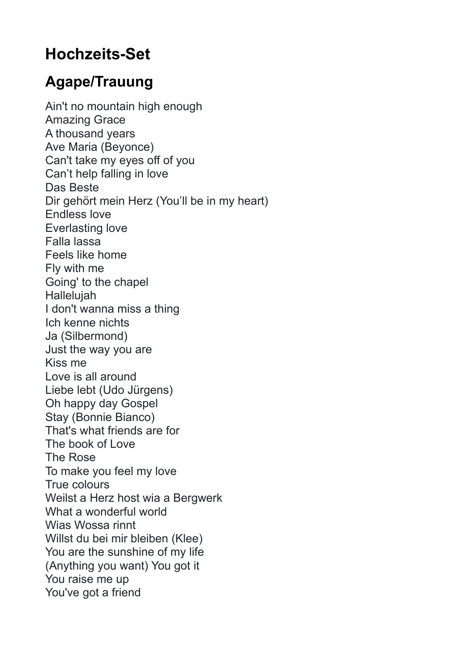## **Hochzeits-Set**

## **Agape/Trauung**

Ain't no mountain high enough Amazing Grace A thousand years Ave Maria (Beyonce) Can't take my eyes off of you Can't help falling in love Das Beste Dir gehört mein Herz (You'll be in my heart) Endless love Everlasting love Falla lassa Feels like home Fly with me Going' to the chapel Hallelujah I don't wanna miss a thing Ich kenne nichts Ja (Silbermond) Just the way you are Kiss me Love is all around Liebe lebt (Udo Jürgens) Oh happy day Gospel Stay (Bonnie Bianco) That's what friends are for The book of Love The Rose To make you feel my love True colours Weilst a Herz host wia a Bergwerk What a wonderful world Wias Wossa rinnt Willst du bei mir bleiben (Klee) You are the sunshine of my life (Anything you want) You got it You raise me up You've got a friend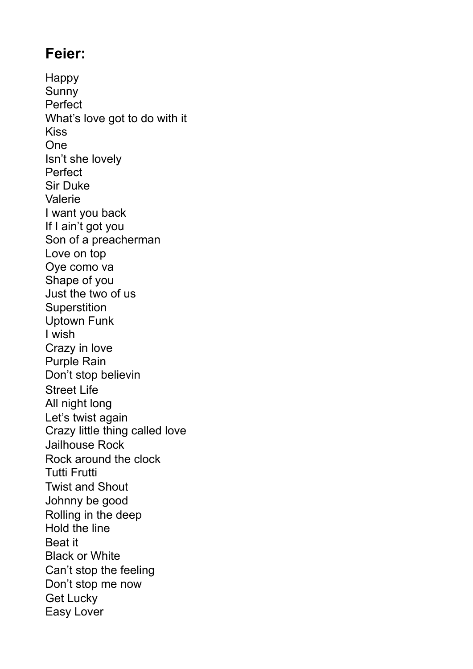## **Feier:**

Happy Sunny Perfect What's love got to do with it Kiss One Isn't she lovely Perfect Sir Duke Valerie I want you back If I ain't got you Son of a preacherman Love on top Oye como va Shape of you Just the two of us **Superstition** Uptown Funk I wish Crazy in love Purple Rain Don't stop believin Street Life All night long Let's twist again Crazy little thing called love Jailhouse Rock Rock around the clock Tutti Frutti Twist and Shout Johnny be good Rolling in the deep Hold the line Beat it Black or White Can't stop the feeling Don't stop me now Get Lucky Easy Lover